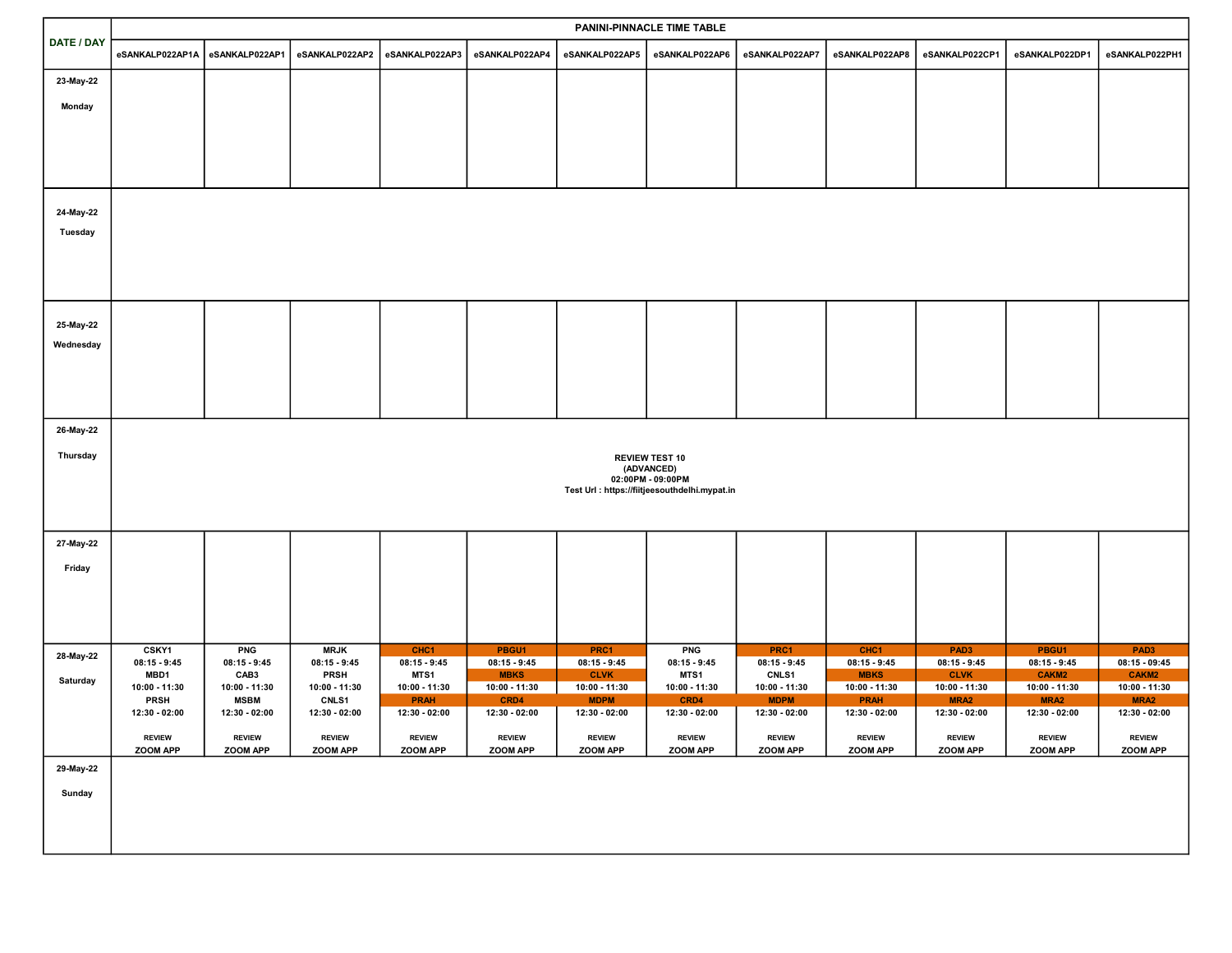|            | PANINI-PINNACLE TIME TABLE                    |                              |                              |                                |                              |                              |                                 |                              |                              |                                   |                                   |                                   |
|------------|-----------------------------------------------|------------------------------|------------------------------|--------------------------------|------------------------------|------------------------------|---------------------------------|------------------------------|------------------------------|-----------------------------------|-----------------------------------|-----------------------------------|
| DATE / DAY | eSANKALP022AP1A                               | eSANKALP022AP1               | eSANKALP022AP2               | eSANKALP022AP3                 | eSANKALP022AP4               | eSANKALP022AP5               | eSANKALP022AP6                  | eSANKALP022AP7               | eSANKALP022AP8               | eSANKALP022CP1                    | eSANKALP022DP1                    | eSANKALP022PH1                    |
| 23-May-22  |                                               |                              |                              |                                |                              |                              |                                 |                              |                              |                                   |                                   |                                   |
| Monday     |                                               |                              |                              |                                |                              |                              |                                 |                              |                              |                                   |                                   |                                   |
|            |                                               |                              |                              |                                |                              |                              |                                 |                              |                              |                                   |                                   |                                   |
|            |                                               |                              |                              |                                |                              |                              |                                 |                              |                              |                                   |                                   |                                   |
|            |                                               |                              |                              |                                |                              |                              |                                 |                              |                              |                                   |                                   |                                   |
|            |                                               |                              |                              |                                |                              |                              |                                 |                              |                              |                                   |                                   |                                   |
| 24-May-22  |                                               |                              |                              |                                |                              |                              |                                 |                              |                              |                                   |                                   |                                   |
| Tuesday    |                                               |                              |                              |                                |                              |                              |                                 |                              |                              |                                   |                                   |                                   |
|            |                                               |                              |                              |                                |                              |                              |                                 |                              |                              |                                   |                                   |                                   |
|            |                                               |                              |                              |                                |                              |                              |                                 |                              |                              |                                   |                                   |                                   |
|            |                                               |                              |                              |                                |                              |                              |                                 |                              |                              |                                   |                                   |                                   |
| 25-May-22  |                                               |                              |                              |                                |                              |                              |                                 |                              |                              |                                   |                                   |                                   |
| Wednesday  |                                               |                              |                              |                                |                              |                              |                                 |                              |                              |                                   |                                   |                                   |
|            |                                               |                              |                              |                                |                              |                              |                                 |                              |                              |                                   |                                   |                                   |
|            |                                               |                              |                              |                                |                              |                              |                                 |                              |                              |                                   |                                   |                                   |
|            |                                               |                              |                              |                                |                              |                              |                                 |                              |                              |                                   |                                   |                                   |
| 26-May-22  |                                               |                              |                              |                                |                              |                              |                                 |                              |                              |                                   |                                   |                                   |
| Thursday   | <b>REVIEW TEST 10</b>                         |                              |                              |                                |                              |                              |                                 |                              |                              |                                   |                                   |                                   |
|            |                                               |                              |                              |                                |                              |                              | (ADVANCED)<br>02:00PM - 09:00PM |                              |                              |                                   |                                   |                                   |
|            | Test Url : https://fiitjeesouthdelhi.mypat.in |                              |                              |                                |                              |                              |                                 |                              |                              |                                   |                                   |                                   |
|            |                                               |                              |                              |                                |                              |                              |                                 |                              |                              |                                   |                                   |                                   |
| 27-May-22  |                                               |                              |                              |                                |                              |                              |                                 |                              |                              |                                   |                                   |                                   |
| Friday     |                                               |                              |                              |                                |                              |                              |                                 |                              |                              |                                   |                                   |                                   |
|            |                                               |                              |                              |                                |                              |                              |                                 |                              |                              |                                   |                                   |                                   |
|            |                                               |                              |                              |                                |                              |                              |                                 |                              |                              |                                   |                                   |                                   |
|            | <b>CSKY1</b>                                  | <b>PNG</b>                   | <b>MRJK</b>                  | CHC <sub>1</sub>               | PBGU1                        | PRC1                         | <b>PNG</b>                      | PRC1                         | CHC <sub>1</sub>             | PAD <sub>3</sub>                  | PBGU1                             | PAD <sub>3</sub>                  |
| 28-May-22  | $08:15 - 9:45$                                | $08:15 - 9:45$               | $08:15 - 9:45$               | $08:15 - 9:45$                 | $08:15 - 9:45$               | $08:15 - 9:45$               | $08:15 - 9:45$                  | $08:15 - 9:45$               | $08:15 - 9:45$               | $08:15 - 9:45$                    | $08:15 - 9:45$                    | $08:15 - 09:45$                   |
| Saturday   | MBD1<br>10:00 - 11:30                         | CAB3<br>10:00 - 11:30        | <b>PRSH</b><br>10:00 - 11:30 | MTS1<br>10:00 - 11:30          | <b>MBKS</b><br>10:00 - 11:30 | <b>CLVK</b><br>10:00 - 11:30 | MTS1<br>10:00 - 11:30           | CNLS1<br>10:00 - 11:30       | <b>MBKS</b><br>10:00 - 11:30 | <b>CLVK</b><br>10:00 - 11:30      | CAKM2<br>10:00 - 11:30            | CAKM2<br>10:00 - 11:30            |
|            | <b>PRSH</b><br>12:30 - 02:00                  | <b>MSBM</b><br>12:30 - 02:00 | CNLS1<br>12:30 - 02:00       | <b>PRAH</b><br>$12:30 - 02:00$ | CRD4<br>12:30 - 02:00        | <b>MDPM</b><br>12:30 - 02:00 | CRD4<br>12:30 - 02:00           | <b>MDPM</b><br>12:30 - 02:00 | <b>PRAH</b><br>12:30 - 02:00 | MRA <sub>2</sub><br>12:30 - 02:00 | MRA <sub>2</sub><br>12:30 - 02:00 | MRA <sub>2</sub><br>12:30 - 02:00 |
|            | <b>REVIEW</b>                                 | <b>REVIEW</b>                | <b>REVIEW</b>                | <b>REVIEW</b>                  | <b>REVIEW</b>                | <b>REVIEW</b>                | <b>REVIEW</b>                   | <b>REVIEW</b>                | <b>REVIEW</b>                | <b>REVIEW</b>                     | <b>REVIEW</b>                     | <b>REVIEW</b>                     |
|            | ZOOM APP                                      | ZOOM APP                     | ZOOM APP                     | ZOOM APP                       | ZOOM APP                     | ZOOM APP                     | ZOOM APP                        | ZOOM APP                     | ZOOM APP                     | ZOOM APP                          | ZOOM APP                          | ZOOM APP                          |
| 29-May-22  |                                               |                              |                              |                                |                              |                              |                                 |                              |                              |                                   |                                   |                                   |
| Sunday     |                                               |                              |                              |                                |                              |                              |                                 |                              |                              |                                   |                                   |                                   |
|            |                                               |                              |                              |                                |                              |                              |                                 |                              |                              |                                   |                                   |                                   |
|            |                                               |                              |                              |                                |                              |                              |                                 |                              |                              |                                   |                                   |                                   |
|            |                                               |                              |                              |                                |                              |                              |                                 |                              |                              |                                   |                                   |                                   |